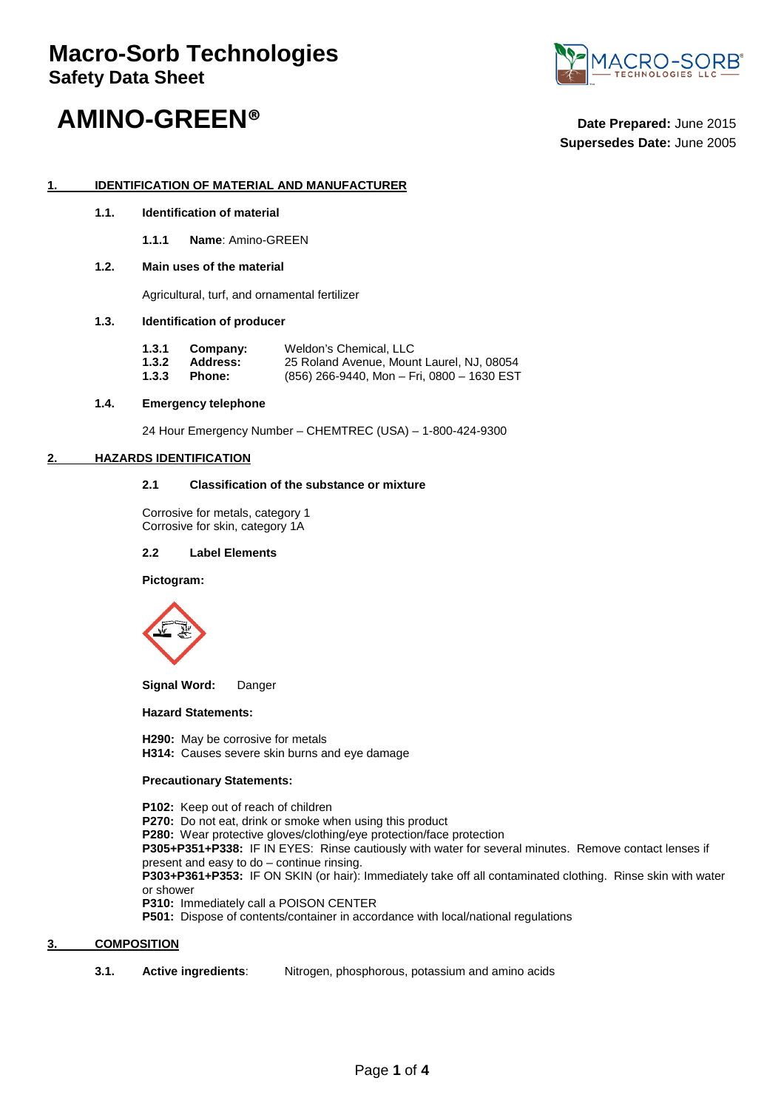# **Macro-Sorb Technologies Safety Data Sheet**



# **AMINO-GREEN® Date Prepared:** June <sup>2015</sup>

**Supersedes Date:** June 2005

### **1. IDENTIFICATION OF MATERIAL AND MANUFACTURER**

- **1.1. Identification of material**
	- **1.1.1 Name**: Amino-GREEN

#### **1.2. Main uses of the material**

Agricultural, turf, and ornamental fertilizer

#### **1.3. Identification of producer**

| 1.3.1 | Company: | Weldon's Chemical, LLC                       |
|-------|----------|----------------------------------------------|
| 1.3.2 | Address: | 25 Roland Avenue, Mount Laurel, NJ, 08054    |
| 1.3.3 | Phone:   | $(856)$ 266-9440, Mon - Fri, 0800 - 1630 EST |

#### **1.4. Emergency telephone**

24 Hour Emergency Number – CHEMTREC (USA) – 1-800-424-9300

#### **2. HAZARDS IDENTIFICATION**

#### **2.1 Classification of the substance or mixture**

Corrosive for metals, category 1 Corrosive for skin, category 1A

#### **2.2 Label Elements**

**Pictogram:**



**Signal Word:** Danger

#### **Hazard Statements:**

**H290:** May be corrosive for metals **H314:** Causes severe skin burns and eye damage

#### **Precautionary Statements:**

**P102:** Keep out of reach of children **P270:** Do not eat, drink or smoke when using this product **P280:** Wear protective gloves/clothing/eye protection/face protection **P305+P351+P338:** IF IN EYES: Rinse cautiously with water for several minutes. Remove contact lenses if present and easy to do – continue rinsing. **P303+P361+P353:** IF ON SKIN (or hair): Immediately take off all contaminated clothing. Rinse skin with water or shower **P310:** Immediately call a POISON CENTER **P501:** Dispose of contents/container in accordance with local/national regulations

## **3. COMPOSITION**

**3.1. Active ingredients**: Nitrogen, phosphorous, potassium and amino acids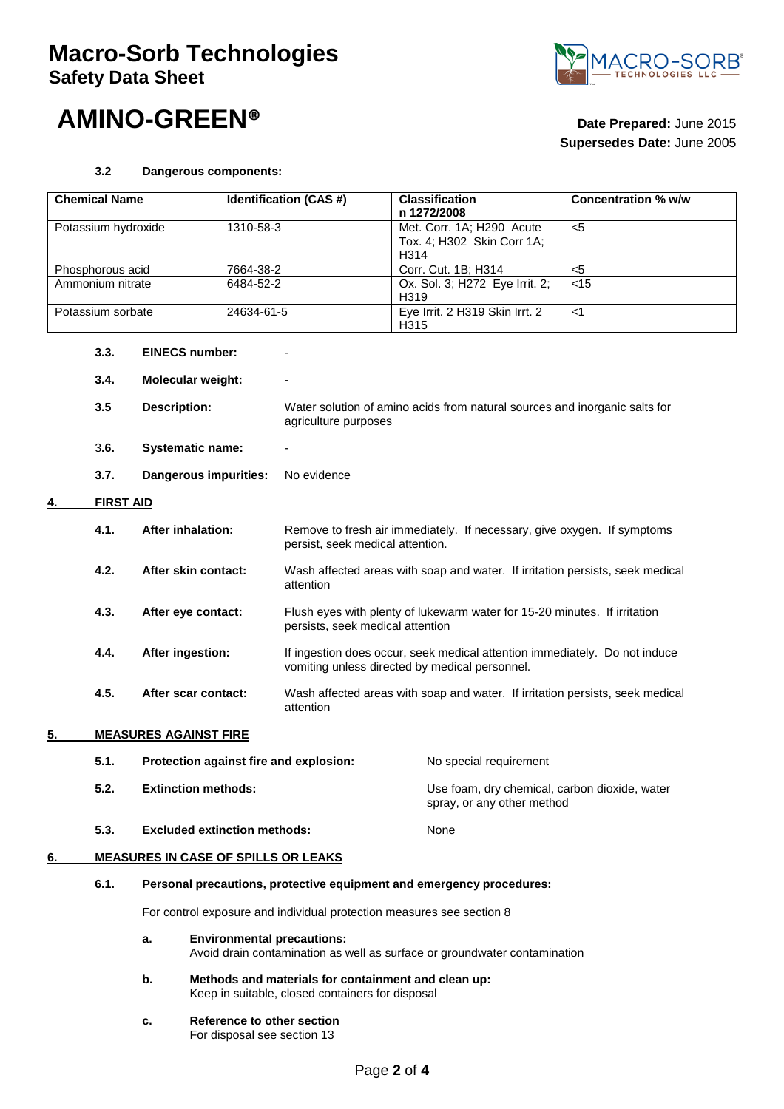# **Macro-Sorb Technologies Safety Data Sheet**





# **Supersedes Date:** June 2005

### **3.2 Dangerous components:**

| <b>Chemical Name</b> |                                                                                      | Identification (CAS #)                                                |                                                                                                                | <b>Classification</b><br>n 1272/2008                                                                                         | <b>Concentration % w/w</b>             |       |  |
|----------------------|--------------------------------------------------------------------------------------|-----------------------------------------------------------------------|----------------------------------------------------------------------------------------------------------------|------------------------------------------------------------------------------------------------------------------------------|----------------------------------------|-------|--|
| Potassium hydroxide  |                                                                                      | 1310-58-3                                                             |                                                                                                                | Met. Corr. 1A; H290 Acute<br>Tox. 4; H302 Skin Corr 1A;<br>H314                                                              | $\overline{5}$                         |       |  |
| Phosphorous acid     |                                                                                      | 7664-38-2                                                             |                                                                                                                | Corr. Cut. 1B; H314                                                                                                          | $\overline{5}$                         |       |  |
| Ammonium nitrate     |                                                                                      | 6484-52-2                                                             |                                                                                                                | Ox. Sol. 3; H272 Eye Irrit. 2;<br>H319                                                                                       | $<$ 15                                 |       |  |
|                      | Potassium sorbate                                                                    |                                                                       | 24634-61-5                                                                                                     |                                                                                                                              | Eye Irrit. 2 H319 Skin Irrt. 2<br>H315 | $<$ 1 |  |
|                      | 3.3.                                                                                 | <b>EINECS number:</b>                                                 |                                                                                                                |                                                                                                                              |                                        |       |  |
|                      | 3.4.<br><b>Molecular weight:</b>                                                     |                                                                       |                                                                                                                |                                                                                                                              |                                        |       |  |
|                      | 3.5                                                                                  | <b>Description:</b>                                                   |                                                                                                                | Water solution of amino acids from natural sources and inorganic salts for<br>agriculture purposes                           |                                        |       |  |
|                      | 3.6.                                                                                 | <b>Systematic name:</b>                                               |                                                                                                                |                                                                                                                              |                                        |       |  |
|                      | 3.7.                                                                                 | Dangerous impurities:                                                 |                                                                                                                | No evidence                                                                                                                  |                                        |       |  |
|                      | <b>FIRST AID</b>                                                                     |                                                                       |                                                                                                                |                                                                                                                              |                                        |       |  |
|                      | 4.1.                                                                                 | <b>After inhalation:</b><br>After skin contact:                       |                                                                                                                | Remove to fresh air immediately. If necessary, give oxygen. If symptoms<br>persist, seek medical attention.                  |                                        |       |  |
|                      | 4.2.                                                                                 |                                                                       |                                                                                                                | Wash affected areas with soap and water. If irritation persists, seek medical<br>attention                                   |                                        |       |  |
|                      | 4.3.                                                                                 | After eye contact:                                                    |                                                                                                                | Flush eyes with plenty of lukewarm water for 15-20 minutes. If irritation<br>persists, seek medical attention                |                                        |       |  |
|                      | 4.4.                                                                                 | After ingestion:<br>After scar contact:                               |                                                                                                                | If ingestion does occur, seek medical attention immediately. Do not induce<br>vomiting unless directed by medical personnel. |                                        |       |  |
|                      | 4.5.                                                                                 |                                                                       |                                                                                                                | Wash affected areas with soap and water. If irritation persists, seek medical<br>attention                                   |                                        |       |  |
| 5.                   |                                                                                      | <b>MEASURES AGAINST FIRE</b>                                          |                                                                                                                |                                                                                                                              |                                        |       |  |
|                      | 5.1.<br>Protection against fire and explosion:<br>5.2.<br><b>Extinction methods:</b> |                                                                       |                                                                                                                | No special requirement                                                                                                       |                                        |       |  |
|                      |                                                                                      |                                                                       |                                                                                                                | Use foam, dry chemical, carbon dioxide, water<br>spray, or any other method                                                  |                                        |       |  |
|                      | 5.3.                                                                                 | <b>Excluded extinction methods:</b>                                   |                                                                                                                |                                                                                                                              | None                                   |       |  |
| 6.                   |                                                                                      | <b>MEASURES IN CASE OF SPILLS OR LEAKS</b>                            |                                                                                                                |                                                                                                                              |                                        |       |  |
|                      | 6.1.                                                                                 | Personal precautions, protective equipment and emergency procedures:  |                                                                                                                |                                                                                                                              |                                        |       |  |
|                      |                                                                                      | For control exposure and individual protection measures see section 8 |                                                                                                                |                                                                                                                              |                                        |       |  |
|                      |                                                                                      | a.                                                                    | <b>Environmental precautions:</b><br>Avoid drain contamination as well as surface or groundwater contamination |                                                                                                                              |                                        |       |  |
|                      |                                                                                      | b.                                                                    | Methods and materials for containment and clean up:<br>Keep in suitable, closed containers for disposal        |                                                                                                                              |                                        |       |  |
|                      |                                                                                      | c.                                                                    | For disposal see section 13                                                                                    | Reference to other section                                                                                                   |                                        |       |  |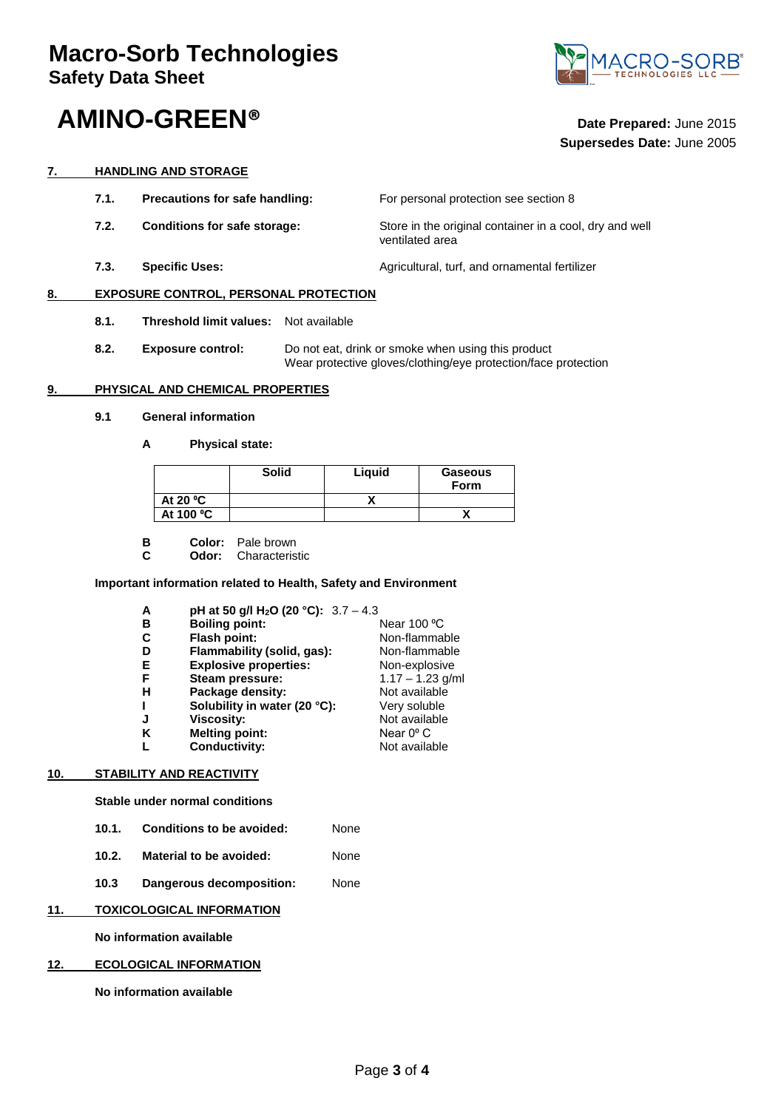# **AMINO-GREEN® Date Prepared:** June <sup>2015</sup>



# **Supersedes Date:** June 2005

#### **7. HANDLING AND STORAGE**

**7.1.** Precautions for safe handling: For personal protection see section 8 **7.2. Conditions for safe storage:** Store in the original container in a cool, dry and well ventilated area **7.3. Specific Uses: Agricultural, turf, and ornamental fertilizer Agricultural**, turf, and ornamental fertilizer

#### **8. EXPOSURE CONTROL, PERSONAL PROTECTION**

- **8.1. Threshold limit values:** Not available
- **8.2. Exposure control:** Do not eat, drink or smoke when using this product Wear protective gloves/clothing/eye protection/face protection

#### **9. PHYSICAL AND CHEMICAL PROPERTIES**

#### **9.1 General information**

**A Physical state:**

|            | <b>Solid</b> | Liguid | <b>Gaseous</b><br><b>Form</b> |
|------------|--------------|--------|-------------------------------|
| At 20 $°C$ |              |        |                               |
| At 100 °C  |              |        |                               |

- **B Color:** Pale brown<br>**C Odor:** Characteris
- **Odor:** Characteristic

#### **Important information related to Health, Safety and Environment**

| A | pH at 50 g/l H <sub>2</sub> O (20 °C): $3.7 - 4.3$ |                    |
|---|----------------------------------------------------|--------------------|
| в | <b>Boiling point:</b>                              | Near 100 °C        |
| C | Flash point:                                       | Non-flammable      |
| D | Flammability (solid, gas):                         | Non-flammable      |
| Е | <b>Explosive properties:</b>                       | Non-explosive      |
| F | Steam pressure:                                    | $1.17 - 1.23$ g/ml |
| н | Package density:                                   | Not available      |
| ı | Solubility in water (20 °C):                       | Very soluble       |
| J | <b>Viscosity:</b>                                  | Not available      |
| ĸ | <b>Melting point:</b>                              | Near $0^{\circ}$ C |
| L | <b>Conductivity:</b>                               | Not available      |
|   |                                                    |                    |

### **10. STABILITY AND REACTIVITY**

**Stable under normal conditions** 

- **10.1. Conditions to be avoided:** None
- **10.2. Material to be avoided:** None
- **10.3 Dangerous decomposition:** None

#### **11. TOXICOLOGICAL INFORMATION**

**No information available**

#### **12. ECOLOGICAL INFORMATION**

**No information available**